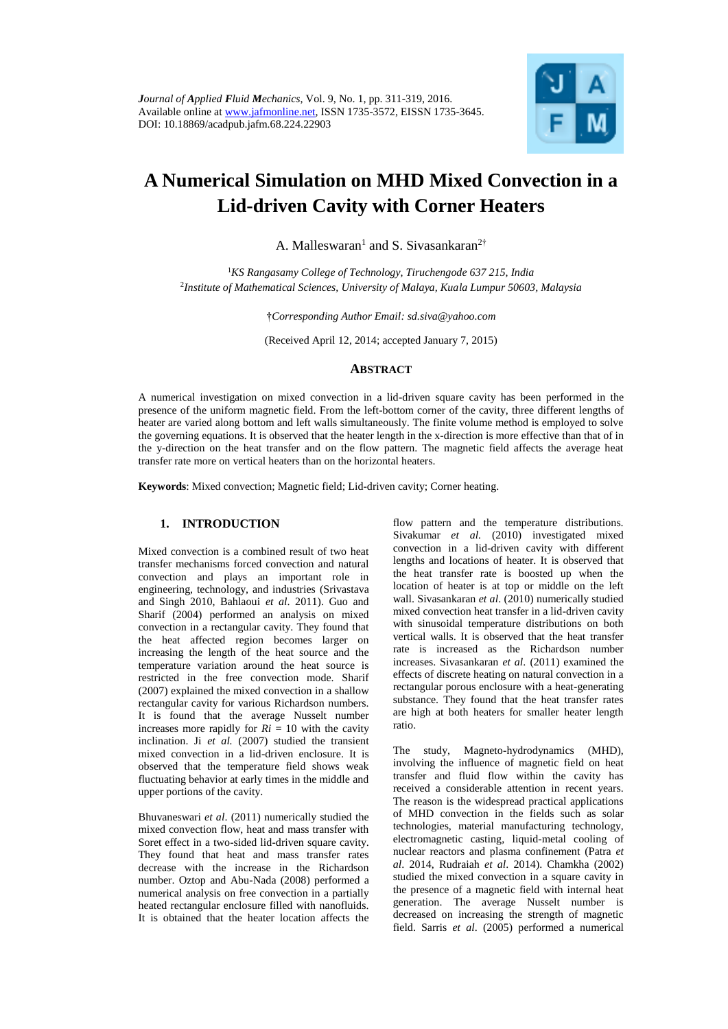

# **A Numerical Simulation on MHD Mixed Convection in a Lid-driven Cavity with Corner Heaters**

A. Malleswaran<sup>1</sup> and S. Sivasankaran<sup>2†</sup>

<sup>1</sup>*KS Rangasamy College of Technology, Tiruchengode 637 215, India* 2 *Institute of Mathematical Sciences, University of Malaya, Kuala Lumpur 50603, Malaysia*

†*Corresponding Author Email: sd.siva@yahoo.com*

(Received April 12, 2014; accepted January 7, 2015)

#### **ABSTRACT**

A numerical investigation on mixed convection in a lid-driven square cavity has been performed in the presence of the uniform magnetic field. From the left-bottom corner of the cavity, three different lengths of heater are varied along bottom and left walls simultaneously. The finite volume method is employed to solve the governing equations. It is observed that the heater length in the x-direction is more effective than that of in the y-direction on the heat transfer and on the flow pattern. The magnetic field affects the average heat transfer rate more on vertical heaters than on the horizontal heaters.

**Keywords**: Mixed convection; Magnetic field; Lid-driven cavity; Corner heating.

# **1. INTRODUCTION**

Mixed convection is a combined result of two heat transfer mechanisms forced convection and natural convection and plays an important role in engineering, technology, and industries (Srivastava and Singh 2010, Bahlaoui *et al*. 2011). Guo and Sharif (2004) performed an analysis on mixed convection in a rectangular cavity. They found that the heat affected region becomes larger on increasing the length of the heat source and the temperature variation around the heat source is restricted in the free convection mode. Sharif (2007) explained the mixed convection in a shallow rectangular cavity for various Richardson numbers. It is found that the average Nusselt number increases more rapidly for  $Ri = 10$  with the cavity inclination. Ji *et al.* (2007) studied the transient mixed convection in a lid-driven enclosure. It is observed that the temperature field shows weak fluctuating behavior at early times in the middle and upper portions of the cavity.

Bhuvaneswari *et al*. (2011) numerically studied the mixed convection flow, heat and mass transfer with Soret effect in a two-sided lid-driven square cavity. They found that heat and mass transfer rates decrease with the increase in the Richardson number. Oztop and Abu-Nada (2008) performed a numerical analysis on free convection in a partially heated rectangular enclosure filled with nanofluids. It is obtained that the heater location affects the

flow pattern and the temperature distributions. Sivakumar *et al.* (2010) investigated mixed convection in a lid-driven cavity with different lengths and locations of heater. It is observed that the heat transfer rate is boosted up when the location of heater is at top or middle on the left wall. Sivasankaran *et al*. (2010) numerically studied mixed convection heat transfer in a lid-driven cavity with sinusoidal temperature distributions on both vertical walls. It is observed that the heat transfer rate is increased as the Richardson number increases. Sivasankaran *et al*. (2011) examined the effects of discrete heating on natural convection in a rectangular porous enclosure with a heat-generating substance. They found that the heat transfer rates are high at both heaters for smaller heater length ratio.

The study, Magneto-hydrodynamics (MHD), involving the influence of magnetic field on heat transfer and fluid flow within the cavity has received a considerable attention in recent years. The reason is the widespread practical applications of MHD convection in the fields such as solar technologies, material manufacturing technology, electromagnetic casting, liquid-metal cooling of nuclear reactors and plasma confinement (Patra *et al*. 2014, Rudraiah *et al*. 2014). Chamkha (2002) studied the mixed convection in a square cavity in the presence of a magnetic field with internal heat generation. The average Nusselt number is decreased on increasing the strength of magnetic field. Sarris *et al*. (2005) performed a numerical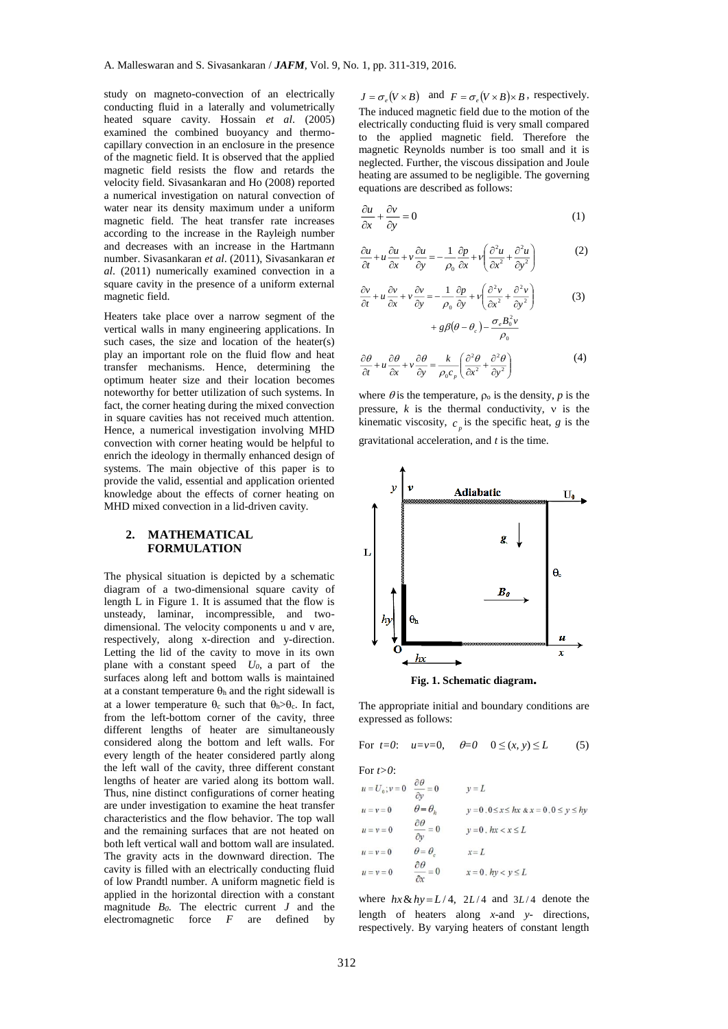study on magneto-convection of an electrically conducting fluid in a laterally and volumetrically heated square cavity. Hossain *et al*. (2005) examined the combined buoyancy and thermocapillary convection in an enclosure in the presence of the magnetic field. It is observed that the applied magnetic field resists the flow and retards the velocity field. Sivasankaran and Ho (2008) reported a numerical investigation on natural convection of water near its density maximum under a uniform magnetic field. The heat transfer rate increases according to the increase in the Rayleigh number and decreases with an increase in the Hartmann number. Sivasankaran *et al*. (2011), Sivasankaran *et al*. (2011) numerically examined convection in a square cavity in the presence of a uniform external magnetic field.

Heaters take place over a narrow segment of the vertical walls in many engineering applications. In such cases, the size and location of the heater(s) play an important role on the fluid flow and heat transfer mechanisms. Hence, determining the optimum heater size and their location becomes noteworthy for better utilization of such systems. In fact, the corner heating during the mixed convection in square cavities has not received much attention. Hence, a numerical investigation involving MHD convection with corner heating would be helpful to enrich the ideology in thermally enhanced design of systems. The main objective of this paper is to provide the valid, essential and application oriented knowledge about the effects of corner heating on MHD mixed convection in a lid-driven cavity.

## **2. MATHEMATICAL FORMULATION**

The physical situation is depicted by a schematic diagram of a two-dimensional square cavity of length L in Figure 1. It is assumed that the flow is unsteady, laminar, incompressible, and twodimensional. The velocity components u and v are, respectively, along x-direction and y-direction. Letting the lid of the cavity to move in its own plane with a constant speed *U0*, a part of the surfaces along left and bottom walls is maintained at a constant temperature  $\theta_h$  and the right sidewall is at a lower temperature  $\theta_c$  such that  $\theta_h > \theta_c$ . In fact, from the left-bottom corner of the cavity, three different lengths of heater are simultaneously considered along the bottom and left walls. For every length of the heater considered partly along the left wall of the cavity, three different constant lengths of heater are varied along its bottom wall. Thus, nine distinct configurations of corner heating are under investigation to examine the heat transfer characteristics and the flow behavior. The top wall and the remaining surfaces that are not heated on both left vertical wall and bottom wall are insulated. The gravity acts in the downward direction. The cavity is filled with an electrically conducting fluid of low Prandtl number. A uniform magnetic field is applied in the horizontal direction with a constant magnitude *B0*. The electric current *J* and the electromagnetic force *F* are defined by

 $J = \sigma_e (V \times B)$  and  $F = \sigma_e (V \times B) \times B$ , respectively. The induced magnetic field due to the motion of the electrically conducting fluid is very small compared to the applied magnetic field. Therefore the magnetic Reynolds number is too small and it is neglected. Further, the viscous dissipation and Joule heating are assumed to be negligible. The governing equations are described as follows:

$$
\frac{\partial u}{\partial x} + \frac{\partial v}{\partial y} = 0\tag{1}
$$

$$
\frac{\partial u}{\partial t} + u \frac{\partial u}{\partial x} + v \frac{\partial u}{\partial y} = -\frac{1}{\rho_0} \frac{\partial p}{\partial x} + v \left( \frac{\partial^2 u}{\partial x^2} + \frac{\partial^2 u}{\partial y^2} \right)
$$
(2)

$$
\frac{\partial v}{\partial t} + u \frac{\partial v}{\partial x} + v \frac{\partial v}{\partial y} = -\frac{1}{\rho_0} \frac{\partial p}{\partial y} + v \left( \frac{\partial^2 v}{\partial x^2} + \frac{\partial^2 v}{\partial y^2} \right) + g \beta \left( \theta - \theta_c \right) - \frac{\sigma_c B_0^2 v}{\rho_0^2}
$$
(3)

$$
\frac{\partial \theta}{\partial t} + u \frac{\partial \theta}{\partial x} + v \frac{\partial \theta}{\partial y} = \frac{k}{\rho_0 c_p} \left( \frac{\partial^2 \theta}{\partial x^2} + \frac{\partial^2 \theta}{\partial y^2} \right)
$$
(4)

 $\rho_{\scriptscriptstyle 0}$ 

where  $\theta$  is the temperature,  $\rho_0$  is the density,  $p$  is the pressure,  $k$  is the thermal conductivity,  $v$  is the kinematic viscosity,  $c_p$  is the specific heat, *g* is the

gravitational acceleration, and *t* is the time.





The appropriate initial and boundary conditions are expressed as follows:

For 
$$
t=0
$$
:  $u=v=0$ ,  $\theta=0$   $0 \le (x, y) \le L$  (5)

For 
$$
t>0
$$
:

$$
u = U_0; v = 0 \quad \frac{\partial \theta}{\partial y} = 0 \quad v = L
$$
  
\n
$$
u = v = 0 \quad \theta = \theta_h \quad v = 0.0 \le x \le hx \& x = 0.0 \le y \le hy
$$
  
\n
$$
u = v = 0 \quad \frac{\partial \theta}{\partial y} = 0 \quad v = 0. \quad hx < x \le L
$$
  
\n
$$
u = v = 0 \quad \theta = \theta_e \quad x = L
$$
  
\n
$$
u = v = 0 \quad \frac{\partial \theta}{\partial x} = 0 \quad x = 0. \quad hy < y \le L
$$

where  $hx \& hy = L/4$ , 2*L*/4 and 3*L*/4 denote the length of heaters along *x*-and *y*- directions, respectively. By varying heaters of constant length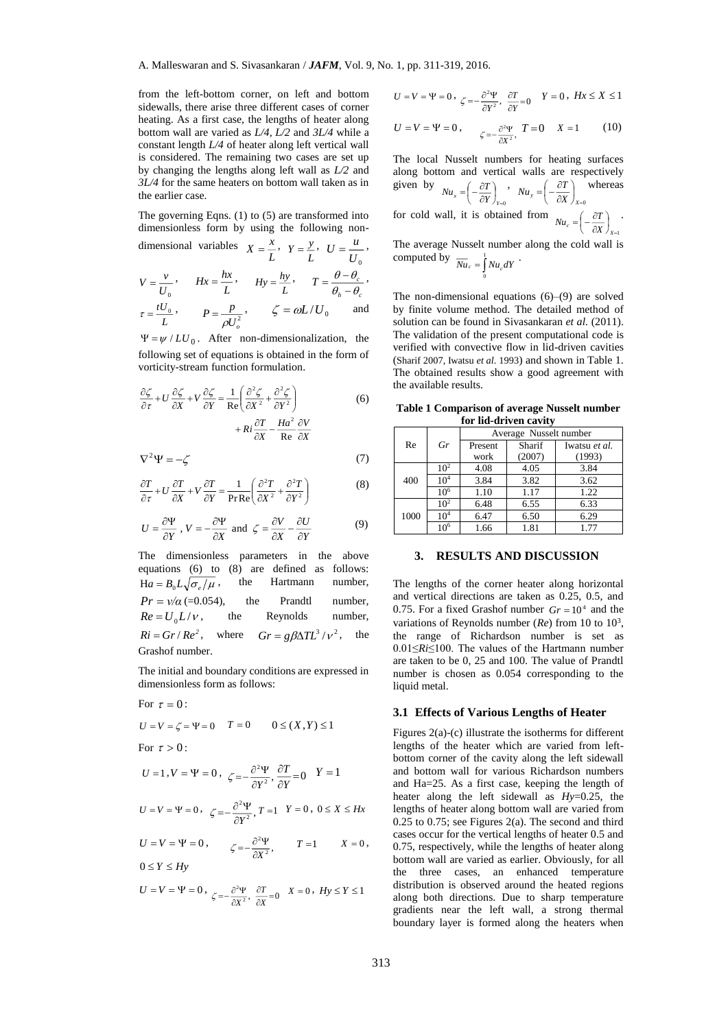from the left-bottom corner, on left and bottom sidewalls, there arise three different cases of corner heating. As a first case, the lengths of heater along bottom wall are varied as *L/4, L/2* and *3L/4* while a constant length *L/4* of heater along left vertical wall is considered. The remaining two cases are set up by changing the lengths along left wall as *L/2* and *3L/4* for the same heaters on bottom wall taken as in the earlier case.

The governing Eqns. (1) to (5) are transformed into dimensionless form by using the following nondimensional variables  $X = \frac{x}{x}$  $Y = \frac{y}{x}$  $U = \frac{u}{u}$ 

$$
V = \frac{v}{U_0}, \qquad Hx = \frac{hx}{L}, \qquad Hy = \frac{hy}{L}, \qquad T = \frac{\theta - \theta_c}{\theta_h - \theta_c},
$$

$$
\tau = \frac{tU_0}{L}, \qquad P = \frac{p}{\rho U_o^2}, \qquad \zeta = \omega L/U_0 \qquad \text{and}
$$

 $\Psi = \psi / LU_0$ . After non-dimensionalization, the following set of equations is obtained in the form of vorticity-stream function formulation.

$$
\frac{\partial \zeta}{\partial \tau} + U \frac{\partial \zeta}{\partial X} + V \frac{\partial \zeta}{\partial Y} = \frac{1}{\text{Re}} \left( \frac{\partial^2 \zeta}{\partial X^2} + \frac{\partial^2 \zeta}{\partial Y^2} \right) + Ri \frac{\partial T}{\partial X} - \frac{Ha^2}{\text{Re}} \frac{\partial V}{\partial X}
$$
(6)

$$
\nabla^2 \Psi = -\zeta \tag{7}
$$

$$
\frac{\partial T}{\partial \tau} + U \frac{\partial T}{\partial X} + V \frac{\partial T}{\partial Y} = \frac{1}{\text{Pr} \text{Re}} \left( \frac{\partial^2 T}{\partial X^2} + \frac{\partial^2 T}{\partial Y^2} \right)
$$
(8)

$$
U = \frac{\partial \Psi}{\partial Y}, V = -\frac{\partial \Psi}{\partial X} \text{ and } \zeta = \frac{\partial V}{\partial X} - \frac{\partial U}{\partial Y}
$$
(9)

The dimensionless parameters in the above equations (6) to (8) are defined as follows:  $Ha = B_0 L \sqrt{\sigma_e / \mu}$ , , the Hartmann number,  $Pr = \frac{v}{\alpha}$  (=0.054), the Prandtl number,  $Re = U_0 L / \nu$ , , the Reynolds number,  $Ri = Gr/Re^2$ , where  $Gr = g\beta\Delta TL^3 / v^2$ , the Grashof number.

The initial and boundary conditions are expressed in dimensionless form as follows:

For 
$$
\tau = 0
$$
:  
\n $U = V = \zeta = \Psi = 0$   $T = 0$   $0 \le (X, Y) \le 1$   
\nFor  $\tau > 0$ :  
\n $U = 1, V = \Psi = 0, \ \zeta = -\frac{\partial^2 \Psi}{\partial Y^2}, \frac{\partial T}{\partial Y} = 0$   $Y = 1$   
\n $U = V = \Psi = 0, \ \zeta = -\frac{\partial^2 \Psi}{\partial Y^2}, T = 1$   $Y = 0, 0 \le X \le Hx$ 

$$
U = V = \Psi = 0, \qquad \zeta = -\frac{\partial^2 \Psi}{\partial X^2}, \qquad T = 1 \qquad X = 0,
$$
  

$$
0 \le Y \le Hy
$$

$$
U = V = \Psi = 0, \ \zeta = -\frac{\partial^2 \Psi}{\partial X^2}, \ \frac{\partial T}{\partial X} = 0 \quad X = 0, \ Hy \le Y \le 1
$$

$$
U = V = \Psi = 0, \ \zeta = -\frac{\partial^2 \Psi}{\partial Y^2}, \ \frac{\partial T}{\partial Y} = 0 \quad Y = 0, \ Hx \le X \le 1
$$

$$
U = V = \Psi = 0
$$
,  $\zeta = -\frac{\partial^2 \Psi}{\partial X^2}$ ,  $T = 0$   $X = 1$  (10)

The local Nusselt numbers for heating surfaces along bottom and vertical walls are respectively given by  $\int_{Y=0}$  $\left(-\frac{\partial T}{\partial Y}\right)$ ſ  $\partial$  $Nu_x = \left(-\frac{\partial T}{\partial Y}\right)_{Y=0}$ ,  $\int_{X=0}$  $\left(-\frac{\partial T}{\partial X}\right)$ ſ ö.  $Nu_y = \left(-\frac{\partial T}{\partial X}\right)_{X=0}$  whereas for cold wall, it is obtained from  $\int_{X=1}$  $\left(-\frac{\partial T}{\partial X}\right)$ ſ a  $Nu_c = \left(-\frac{\partial T}{\partial X}\right)_{X=1}$ .

The average Nusselt number along the cold wall is computed by  $\overline{Nu}_c = \int_0^1 Nu_c dY$ .

 $\mathbf{0}$ 

The non-dimensional equations 
$$
(6)
$$
– $(9)$  are solved by finite volume method. The detailed method of solution can be found in Sivasankaran *et al.* (2011). The validation of the present computational code is verified with convective flow in lid-driven cavities (Sharif 2007, Iwatsu *et al.* 1993) and shown in Table 1. The obtained results show a good agreement with the available results.

**Table 1 Comparison of average Nusselt number for lid-driven cavity**

| Re   | Gr              | Average Nusselt number |                  |                         |
|------|-----------------|------------------------|------------------|-------------------------|
|      |                 | Present<br>work        | Sharif<br>(2007) | Iwatsu et al.<br>(1993) |
| 400  | 10 <sup>2</sup> | 4.08                   | 4.05             | 3.84                    |
|      | $10^{4}$        | 3.84                   | 3.82             | 3.62                    |
|      | $10^{6}$        | 1.10                   | 1.17             | 1.22                    |
| 1000 | 10 <sup>2</sup> | 6.48                   | 6.55             | 6.33                    |
|      | $10^{4}$        | 6.47                   | 6.50             | 6.29                    |
|      | $10^6$          | 1.66                   | 1.81             | 1.77                    |

## **3. RESULTS AND DISCUSSION**

The lengths of the corner heater along horizontal and vertical directions are taken as 0.25, 0.5, and 0.75. For a fixed Grashof number  $Gr = 10^4$  and the variations of Reynolds number  $(Re)$  from 10 to 10<sup>3</sup>, the range of Richardson number is set as 0.01≤*Ri*≤100. The values of the Hartmann number are taken to be 0, 25 and 100. The value of Prandtl number is chosen as 0.054 corresponding to the liquid metal.

#### **3.1 Effects of Various Lengths of Heater**

Figures 2(a)-(c) illustrate the isotherms for different lengths of the heater which are varied from leftbottom corner of the cavity along the left sidewall and bottom wall for various Richardson numbers and Ha=25. As a first case, keeping the length of heater along the left sidewall as *Hy*=0.25, the lengths of heater along bottom wall are varied from 0.25 to 0.75; see Figures 2(a). The second and third cases occur for the vertical lengths of heater 0.5 and 0.75, respectively, while the lengths of heater along bottom wall are varied as earlier. Obviously, for all the three cases, an enhanced temperature distribution is observed around the heated regions along both directions. Due to sharp temperature gradients near the left wall, a strong thermal boundary layer is formed along the heaters when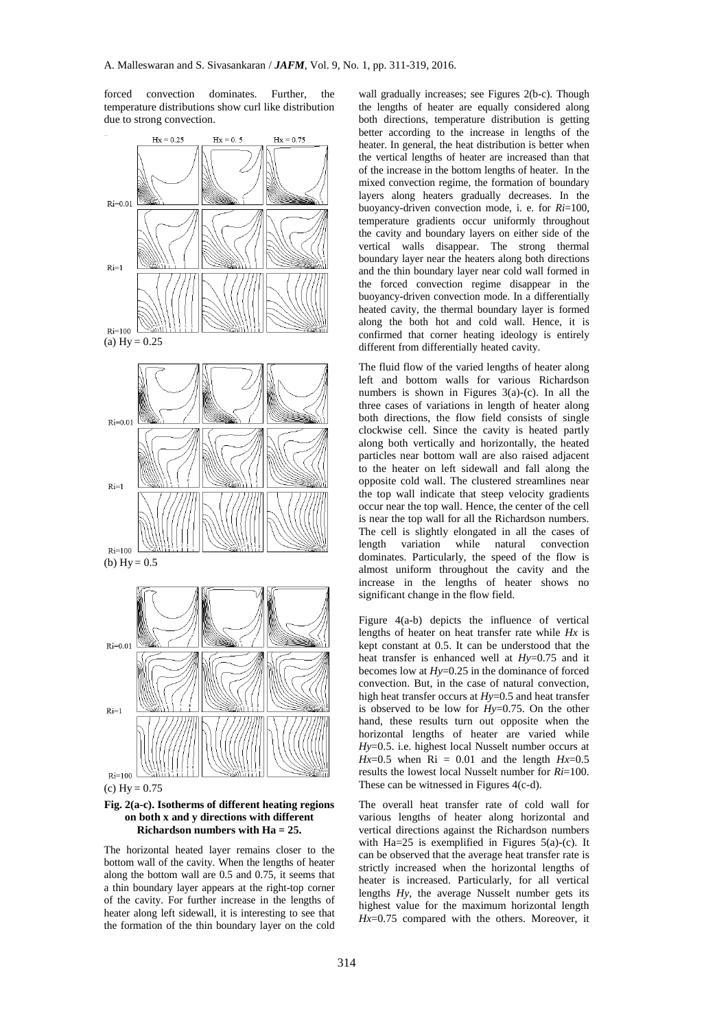forced convection dominates. Further, the temperature distributions show curl like distribution due to strong convection.



 $(c) Hy = 0.75$ 

#### **Fig. 2(a-c). Isotherms of different heating regions on both x and y directions with different Richardson numbers with Ha = 25.**

The horizontal heated layer remains closer to the bottom wall of the cavity. When the lengths of heater along the bottom wall are 0.5 and 0.75, it seems that a thin boundary layer appears at the right-top corner of the cavity. For further increase in the lengths of heater along left sidewall, it is interesting to see that the formation of the thin boundary layer on the cold

wall gradually increases; see Figures 2(b-c). Though the lengths of heater are equally considered along both directions, temperature distribution is getting better according to the increase in lengths of the heater. In general, the heat distribution is better when the vertical lengths of heater are increased than that of the increase in the bottom lengths of heater. In the mixed convection regime, the formation of boundary layers along heaters gradually decreases. In the buoyancy-driven convection mode, i. e. for *Ri*=100, temperature gradients occur uniformly throughout the cavity and boundary layers on either side of the vertical walls disappear. The strong thermal boundary layer near the heaters along both directions and the thin boundary layer near cold wall formed in the forced convection regime disappear in the buoyancy-driven convection mode. In a differentially heated cavity, the thermal boundary layer is formed along the both hot and cold wall. Hence, it is confirmed that corner heating ideology is entirely different from differentially heated cavity.

The fluid flow of the varied lengths of heater along left and bottom walls for various Richardson numbers is shown in Figures  $3(a)-(c)$ . In all the three cases of variations in length of heater along both directions, the flow field consists of single clockwise cell. Since the cavity is heated partly along both vertically and horizontally, the heated particles near bottom wall are also raised adjacent to the heater on left sidewall and fall along the opposite cold wall. The clustered streamlines near the top wall indicate that steep velocity gradients occur near the top wall. Hence, the center of the cell is near the top wall for all the Richardson numbers. The cell is slightly elongated in all the cases of length variation while natural convection dominates. Particularly, the speed of the flow is almost uniform throughout the cavity and the increase in the lengths of heater shows no significant change in the flow field.

Figure 4(a-b) depicts the influence of vertical lengths of heater on heat transfer rate while *Hx* is kept constant at 0.5. It can be understood that the heat transfer is enhanced well at *Hy*=0.75 and it becomes low at *Hy*=0.25 in the dominance of forced convection. But, in the case of natural convection, high heat transfer occurs at *Hy*=0.5 and heat transfer is observed to be low for *Hy*=0.75. On the other hand, these results turn out opposite when the horizontal lengths of heater are varied while *Hy*=0.5. i.e. highest local Nusselt number occurs at  $Hx=0.5$  when  $Ri = 0.01$  and the length  $Hx=0.5$ results the lowest local Nusselt number for *Ri*=100. These can be witnessed in Figures 4(c-d).

The overall heat transfer rate of cold wall for various lengths of heater along horizontal and vertical directions against the Richardson numbers with Ha=25 is exemplified in Figures  $5(a)-(c)$ . It can be observed that the average heat transfer rate is strictly increased when the horizontal lengths of heater is increased. Particularly, for all vertical lengths *Hy*, the average Nusselt number gets its highest value for the maximum horizontal length *Hx*=0.75 compared with the others. Moreover, it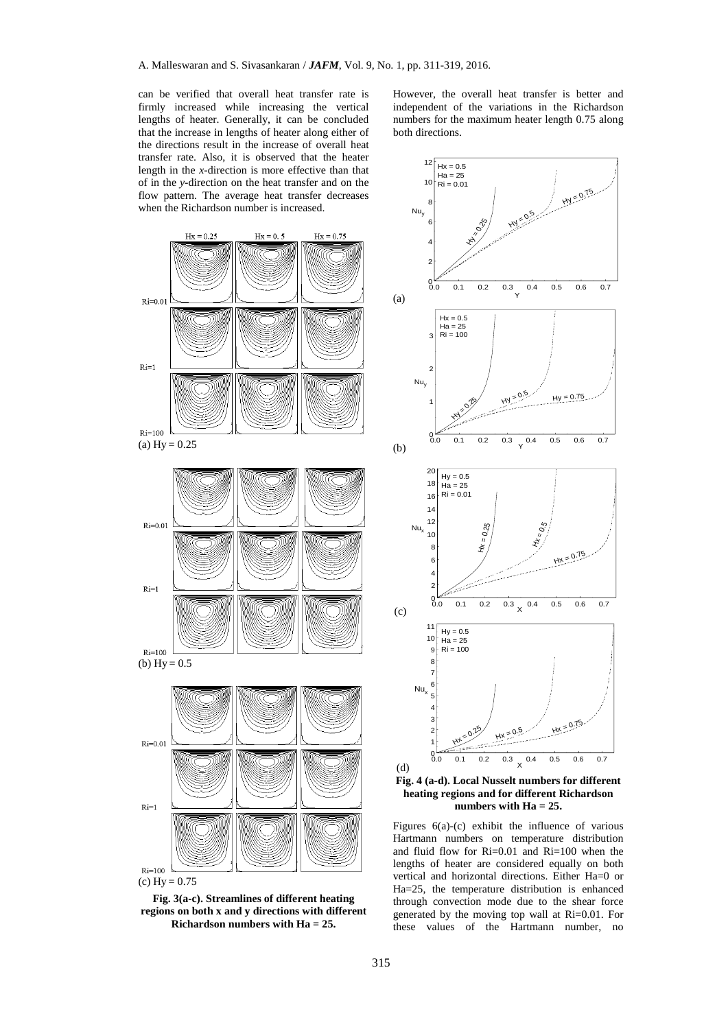can be verified that overall heat transfer rate is firmly increased while increasing the vertical lengths of heater. Generally, it can be concluded that the increase in lengths of heater along either of the directions result in the increase of overall heat transfer rate. Also, it is observed that the heater length in the *x*-direction is more effective than that of in the *y*-direction on the heat transfer and on the flow pattern. The average heat transfer decreases when the Richardson number is increased.



 $(c) Hy = 0.75$ 

**Fig. 3(a-c). Streamlines of different heating regions on both x and y directions with different Richardson numbers with Ha = 25.**

However, the overall heat transfer is better and independent of the variations in the Richardson numbers for the maximum heater length 0.75 along both directions.



**heating regions and for different Richardson numbers with Ha = 25.**

Figures  $6(a)-(c)$  exhibit the influence of various Hartmann numbers on temperature distribution and fluid flow for Ri=0.01 and Ri=100 when the lengths of heater are considered equally on both vertical and horizontal directions. Either Ha=0 or Ha=25, the temperature distribution is enhanced through convection mode due to the shear force generated by the moving top wall at Ri=0.01. For these values of the Hartmann number, no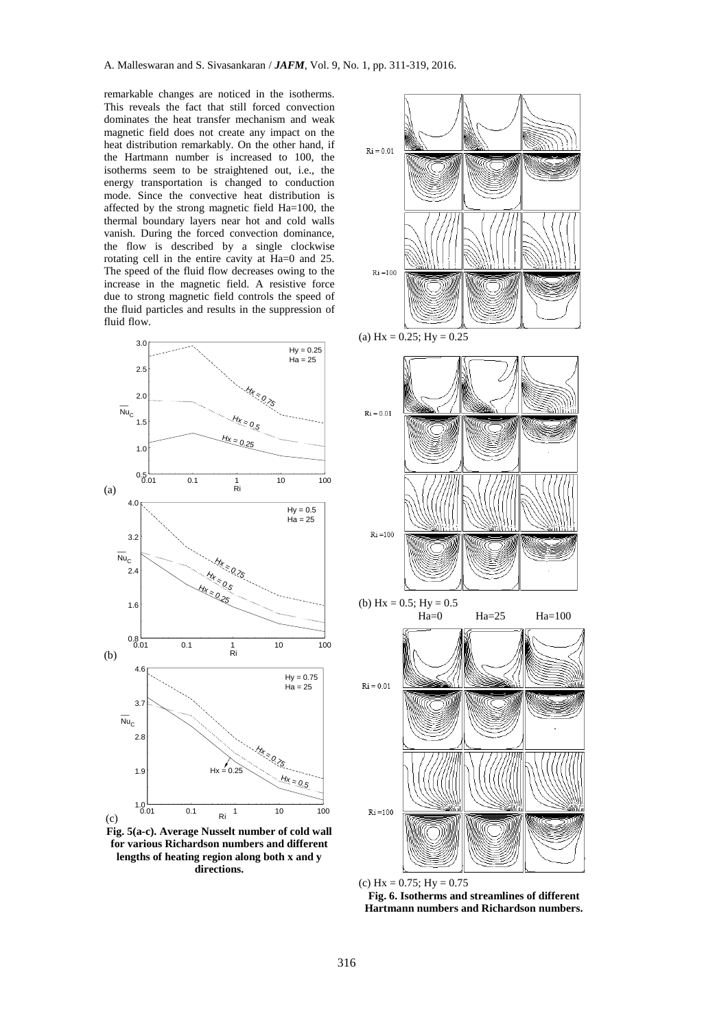remarkable changes are noticed in the isotherms. This reveals the fact that still forced convection dominates the heat transfer mechanism and weak magnetic field does not create any impact on the heat distribution remarkably. On the other hand, if the Hartmann number is increased to 100, the isotherms seem to be straightened out, i.e., the energy transportation is changed to conduction mode. Since the convective heat distribution is affected by the strong magnetic field Ha=100, the thermal boundary layers near hot and cold walls vanish. During the forced convection dominance, the flow is described by a single clockwise rotating cell in the entire cavity at Ha=0 and 25. The speed of the fluid flow decreases owing to the increase in the magnetic field. A resistive force due to strong magnetic field controls the speed of the fluid particles and results in the suppression of fluid flow.



**Fig. 5(a-c). Average Nusselt number of cold wall for various Richardson numbers and different lengths of heating region along both x and y directions.**



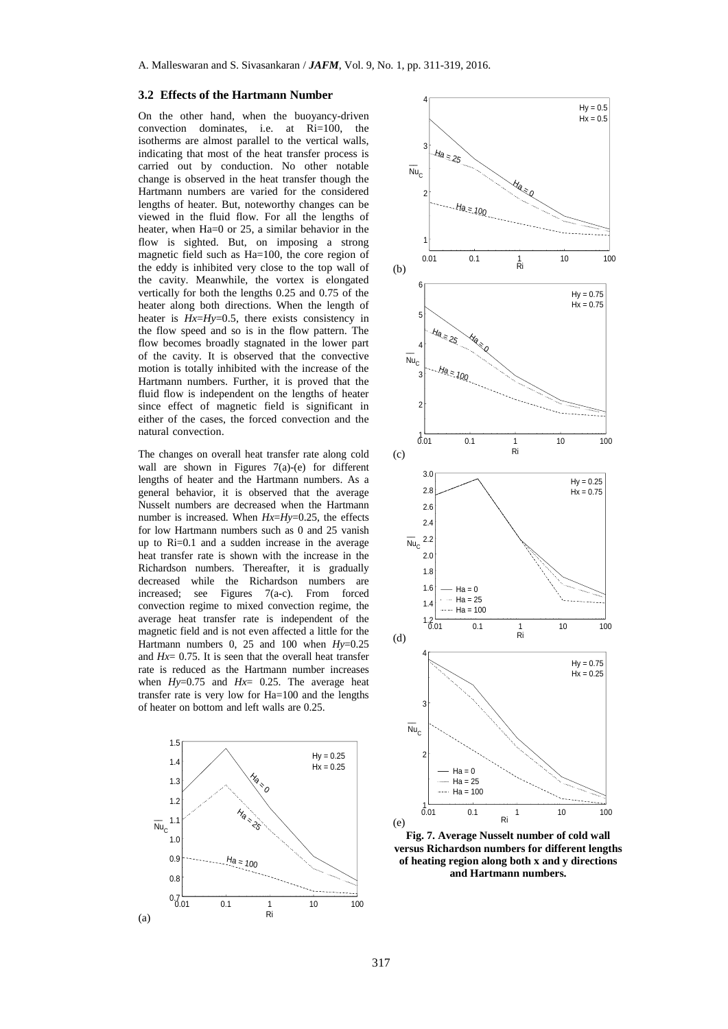#### **3.2 Effects of the Hartmann Number**

On the other hand, when the buoyancy-driven convection dominates, i.e. at Ri=100, the isotherms are almost parallel to the vertical walls, indicating that most of the heat transfer process is carried out by conduction. No other notable change is observed in the heat transfer though the Hartmann numbers are varied for the considered lengths of heater. But, noteworthy changes can be viewed in the fluid flow. For all the lengths of heater, when Ha=0 or 25, a similar behavior in the flow is sighted. But, on imposing a strong magnetic field such as Ha=100, the core region of the eddy is inhibited very close to the top wall of the cavity. Meanwhile, the vortex is elongated vertically for both the lengths 0.25 and 0.75 of the heater along both directions. When the length of heater is *Hx*=*Hy*=0.5, there exists consistency in the flow speed and so is in the flow pattern. The flow becomes broadly stagnated in the lower part of the cavity. It is observed that the convective motion is totally inhibited with the increase of the Hartmann numbers. Further, it is proved that the fluid flow is independent on the lengths of heater since effect of magnetic field is significant in either of the cases, the forced convection and the natural convection.

The changes on overall heat transfer rate along cold wall are shown in Figures 7(a)-(e) for different lengths of heater and the Hartmann numbers. As a general behavior, it is observed that the average Nusselt numbers are decreased when the Hartmann number is increased. When *Hx*=*Hy*=0.25, the effects for low Hartmann numbers such as 0 and 25 vanish up to Ri=0.1 and a sudden increase in the average heat transfer rate is shown with the increase in the Richardson numbers. Thereafter, it is gradually decreased while the Richardson numbers are increased; see Figures 7(a-c). From forced convection regime to mixed convection regime, the average heat transfer rate is independent of the magnetic field and is not even affected a little for the Hartmann numbers 0, 25 and 100 when *Hy*=0.25 and  $Hr= 0.75$  It is seen that the overall heat transfer rate is reduced as the Hartmann number increases when *Hy*=0.75 and *Hx*= 0.25. The average heat transfer rate is very low for Ha=100 and the lengths of heater on bottom and left walls are 0.25.





**Fig. 7. Average Nusselt number of cold wall versus Richardson numbers for different lengths of heating region along both x and y directions and Hartmann numbers.**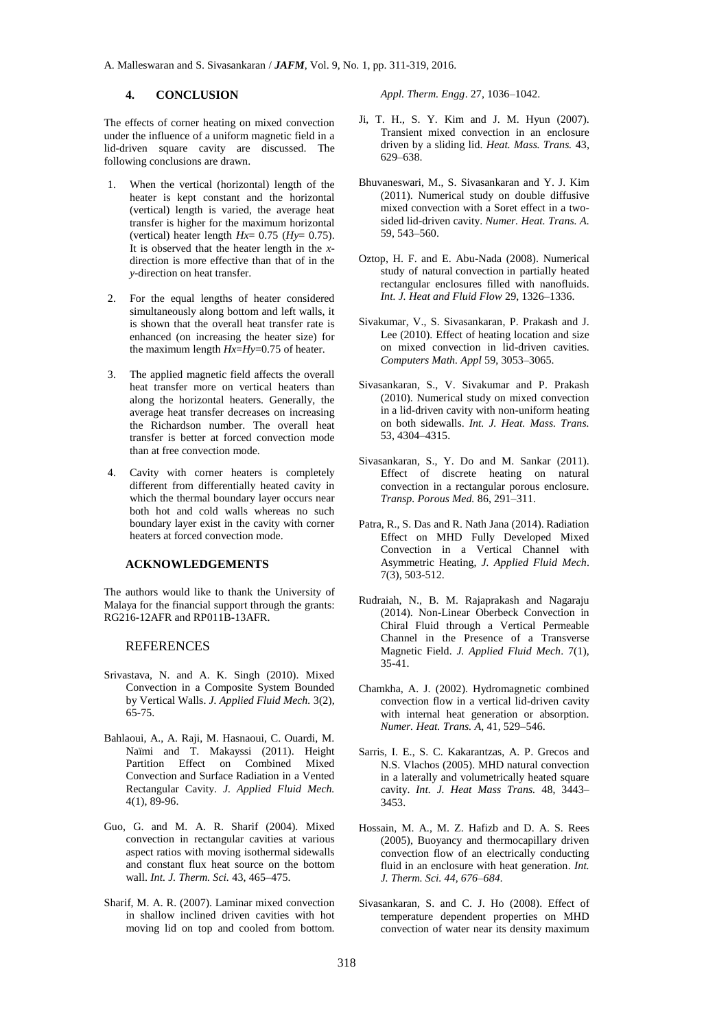## **4. CONCLUSION**

The effects of corner heating on mixed convection under the influence of a uniform magnetic field in a lid-driven square cavity are discussed. The following conclusions are drawn.

- 1. When the vertical (horizontal) length of the heater is kept constant and the horizontal (vertical) length is varied, the average heat transfer is higher for the maximum horizontal (vertical) heater length  $Hx= 0.75$  ( $Hy= 0.75$ ). It is observed that the heater length in the *x*direction is more effective than that of in the *y*-direction on heat transfer.
- 2. For the equal lengths of heater considered simultaneously along bottom and left walls, it is shown that the overall heat transfer rate is enhanced (on increasing the heater size) for the maximum length *Hx*=*Hy*=0.75 of heater.
- 3. The applied magnetic field affects the overall heat transfer more on vertical heaters than along the horizontal heaters. Generally, the average heat transfer decreases on increasing the Richardson number. The overall heat transfer is better at forced convection mode than at free convection mode.
- 4. Cavity with corner heaters is completely different from differentially heated cavity in which the thermal boundary layer occurs near both hot and cold walls whereas no such boundary layer exist in the cavity with corner heaters at forced convection mode.

## **ACKNOWLEDGEMENTS**

The authors would like to thank the University of Malaya for the financial support through the grants: RG216-12AFR and RP011B-13AFR.

## REFERENCES

- Srivastava, N. and A. K. Singh (2010). Mixed Convection in a Composite System Bounded by Vertical Walls. *J. Applied Fluid Mech.* 3(2), 65-75.
- Bahlaoui, A., A. Raji, M. Hasnaoui, C. Ouardi, M. Naïmi and T. Makayssi (2011). Height Partition Effect on Combined Mixed Convection and Surface Radiation in a Vented Rectangular Cavity. *J. Applied Fluid Mech.* 4(1), 89-96.
- Guo, G. and M. A. R. Sharif (2004). Mixed convection in rectangular cavities at various aspect ratios with moving isothermal sidewalls and constant flux heat source on the bottom wall. *Int. J. Therm. Sci.* 43, 465–475.
- Sharif, M. A. R. (2007). Laminar mixed convection in shallow inclined driven cavities with hot moving lid on top and cooled from bottom.

*Appl. Therm. Engg*. 27, 1036–1042.

- Ji, T. H., S. Y. Kim and J. M. Hyun (2007). Transient mixed convection in an enclosure driven by a sliding lid. *Heat. Mass. Trans.* 43, 629–638.
- Bhuvaneswari, M., S. Sivasankaran and Y. J. Kim (2011). Numerical study on double diffusive mixed convection with a Soret effect in a twosided lid-driven cavity. *Numer. Heat. Trans. A.* 59, 543–560.
- Oztop, H. F. and E. Abu-Nada (2008). Numerical study of natural convection in partially heated rectangular enclosures filled with nanofluids. *Int. J. Heat and Fluid Flow* 29, 1326–1336.
- Sivakumar, V., S. Sivasankaran, P. Prakash and J. Lee (2010). Effect of heating location and size on mixed convection in lid-driven cavities. *Computers Math. Appl* 59, 3053–3065.
- Sivasankaran, S., V. Sivakumar and P. Prakash (2010). Numerical study on mixed convection in a lid-driven cavity with non-uniform heating on both sidewalls. *Int. J. Heat. Mass. Trans.* 53, 4304–4315.
- Sivasankaran, S., Y. Do and M. Sankar (2011). Effect of discrete heating on natural convection in a rectangular porous enclosure. *Transp. Porous Med.* 86, 291–311.
- Patra, R., S. Das and R. Nath Jana (2014). Radiation Effect on MHD Fully Developed Mixed Convection in a Vertical Channel with Asymmetric Heating, *J. Applied Fluid Mech*. 7(3), 503-512.
- Rudraiah, N., B. M. Rajaprakash and Nagaraju (2014). Non-Linear Oberbeck Convection in Chiral Fluid through a Vertical Permeable Channel in the Presence of a Transverse Magnetic Field. *J. Applied Fluid Mech*. 7(1), 35-41.
- Chamkha, A. J. (2002). Hydromagnetic combined convection flow in a vertical lid-driven cavity with internal heat generation or absorption. *Numer. Heat. Trans. A*, 41, 529–546.
- Sarris, I. E., S. C. Kakarantzas, A. P. Grecos and N.S. Vlachos (2005). MHD natural convection in a laterally and volumetrically heated square cavity. *Int. J. Heat Mass Trans.* 48, 3443– 3453.
- Hossain, M. A., M. Z. Hafizb and D. A. S. Rees (2005), Buoyancy and thermocapillary driven convection flow of an electrically conducting fluid in an enclosure with heat generation. *Int. J. Therm. Sci. 44, 676–684.*
- Sivasankaran, S. and C. J. Ho (2008). Effect of temperature dependent properties on MHD convection of water near its density maximum